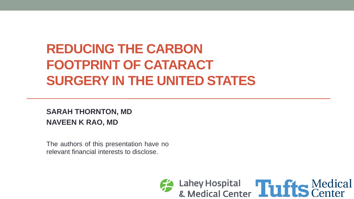# **REDUCING THE CARBON FOOTPRINT OF CATARACT SURGERY IN THE UNITED STATES**

#### **SARAH THORNTON, MD NAVEEN K RAO, MD**

The authors of this presentation have no relevant financial interests to disclose.

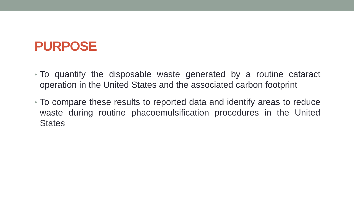#### **PURPOSE**

- To quantify the disposable waste generated by a routine cataract operation in the United States and the associated carbon footprint
- To compare these results to reported data and identify areas to reduce waste during routine phacoemulsification procedures in the United **States**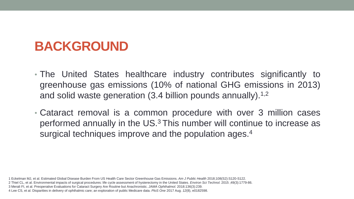### **BACKGROUND**

- The United States healthcare industry contributes significantly to greenhouse gas emissions (10% of national GHG emissions in 2013) and solid waste generation (3.4 billion pounds annually).<sup>1,2</sup>
- Cataract removal is a common procedure with over 3 million cases performed annually in the US.<sup>3</sup> This number will continue to increase as surgical techniques improve and the population ages.<sup>4</sup>

<sup>1</sup> Eckelman MJ, et al. Estimated Global Disease Burden From US Health Care Sector Greenhouse Gas Emissions. *Am J Public Health* 2018;108(S2):S120-S122.

<sup>2</sup> Thiel CL, et al. Environmental impacts of surgical procedures: life cycle assessment of hysterectomy in the United States. *Environ Sci Technol.* 2015 ;49(3):1779-86.

<sup>3</sup> Merali FI, et al. Preoperative Evaluations for Cataract Surgery Are Routine but Anachronistic. *JAMA Ophthalmol.* 2018;136(3):239.

<sup>4</sup> Lee CS, et al. Disparities in delivery of ophthalmic care; an exploration of public Medicare data. *PloS One* 2017 Aug. *12*(8), e0182598.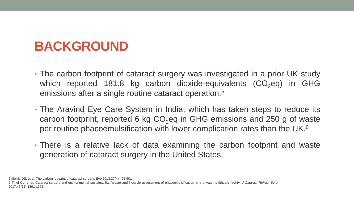## **BACKGROUND**

- The carbon footprint of cataract surgery was investigated in a prior UK study which reported 181.8 kg carbon dioxide-equivalents  $(CO<sub>2</sub>eq)$  in GHG emissions after a single routine cataract operation. 5
- The Aravind Eye Care System in India, which has taken steps to reduce its carbon footprint, reported 6 kg  $CO<sub>2</sub>$ eq in GHG emissions and 250 g of waste per routine phacoemulsification with lower complication rates than the UK. 6
- There is a relative lack of data examining the carbon footprint and waste generation of cataract surgery in the United States.

5 Morris DS, et al. The carbon footprint of cataract surgery. *Eye* 2013;27(4):495-501.

6 Thiel CL, et al. Cataract surgery and environmental sustainability: Waste and lifecycle assessment of phacoemulsification at a private healthcare facility. *J Cataract Refract Surg.* 2017;43(11):1391-1398.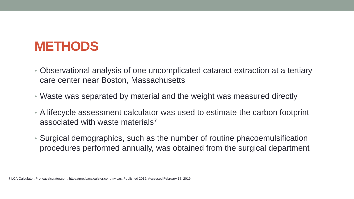#### **METHODS**

- Observational analysis of one uncomplicated cataract extraction at a tertiary care center near Boston, Massachusetts
- Waste was separated by material and the weight was measured directly
- A lifecycle assessment calculator was used to estimate the carbon footprint associated with waste materials<sup>7</sup>
- Surgical demographics, such as the number of routine phacoemulsification procedures performed annually, was obtained from the surgical department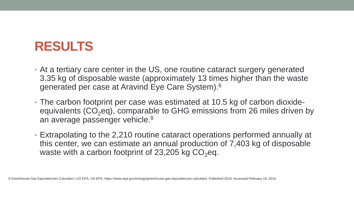#### **RESULTS**

- At a tertiary care center in the US, one routine cataract surgery generated 3.35 kg of disposable waste (approximately 13 times higher than the waste generated per case at Aravind Eye Care System).<sup>6</sup>
- The carbon footprint per case was estimated at 10.5 kg of carbon dioxideequivalents  $(CO_2$ eq), comparable to GHG emissions from 26 miles driven by an average passenger vehicle.<sup>8</sup>
- Extrapolating to the 2,210 routine cataract operations performed annually at this center, we can estimate an annual production of 7,403 kg of disposable waste with a carbon footprint of 23,205 kg  $CO<sub>2</sub>$ eq.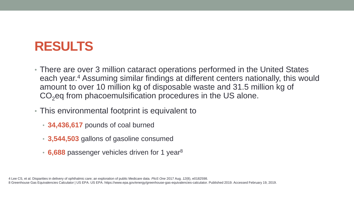### **RESULTS**

- There are over 3 million cataract operations performed in the United States each year.<sup>4</sup> Assuming similar findings at different centers nationally, this would amount to over 10 million kg of disposable waste and 31.5 million kg of CO<sub>2</sub>eq from phacoemulsification procedures in the US alone.
- This environmental footprint is equivalent to
	- **34,436,617** pounds of coal burned
	- **3,544,503** gallons of gasoline consumed
	- **6,688** passenger vehicles driven for 1 year<sup>8</sup>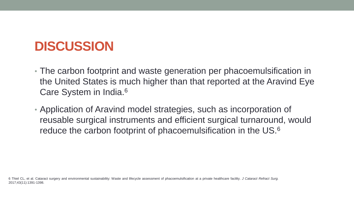## **DISCUSSION**

- The carbon footprint and waste generation per phacoemulsification in the United States is much higher than that reported at the Aravind Eye Care System in India.<sup>6</sup>
- Application of Aravind model strategies, such as incorporation of reusable surgical instruments and efficient surgical turnaround, would reduce the carbon footprint of phacoemulsification in the US.<sup>6</sup>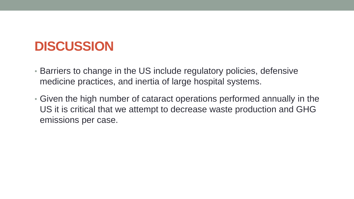### **DISCUSSION**

- Barriers to change in the US include regulatory policies, defensive medicine practices, and inertia of large hospital systems.
- Given the high number of cataract operations performed annually in the US it is critical that we attempt to decrease waste production and GHG emissions per case.